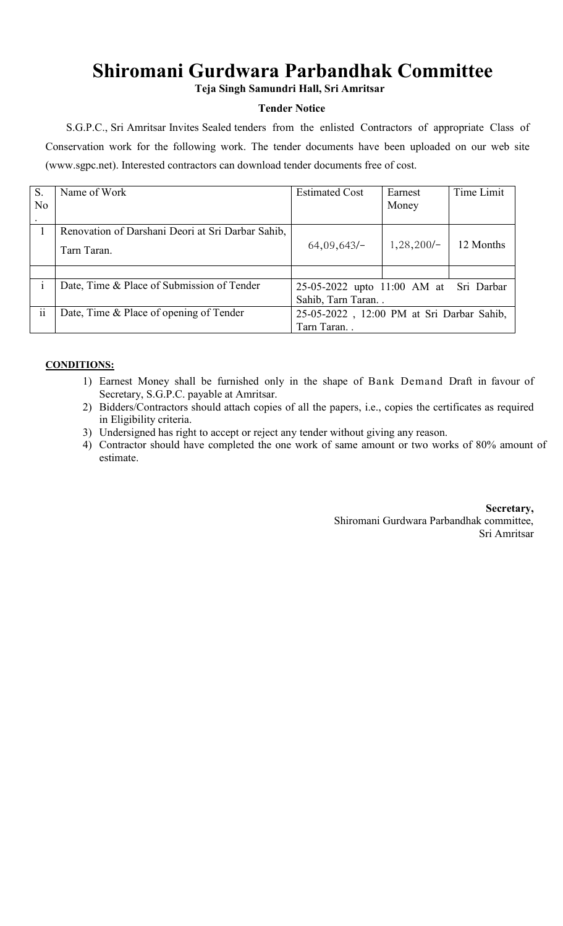## **Shiromani Gurdwara Parbandhak Committee**

**Teja Singh Samundri Hall, Sri Amritsar**

## **Tender Notice**

S.G.P.C., Sri Amritsar Invites Sealed tenders from the enlisted Contractors of appropriate Class of Conservation work for the following work. The tender documents have been uploaded on our web site (www.sgpc.net). Interested contractors can download tender documents free of cost.

| S.                       | Name of Work                                      | <b>Estimated Cost</b>                     | Earnest      | Time Limit |
|--------------------------|---------------------------------------------------|-------------------------------------------|--------------|------------|
| N <sub>0</sub>           |                                                   |                                           | Money        |            |
|                          |                                                   |                                           |              |            |
|                          | Renovation of Darshani Deori at Sri Darbar Sahib, |                                           |              |            |
|                          | Tarn Taran.                                       | $64,09,643/-$                             | $1,28,200/-$ | 12 Months  |
|                          |                                                   |                                           |              |            |
|                          |                                                   |                                           |              |            |
|                          | Date, Time & Place of Submission of Tender        | 25-05-2022 upto 11:00 AM at Sri Darbar    |              |            |
|                          |                                                   | Sahib, Tarn Taran                         |              |            |
| $\overline{\mathbf{ii}}$ | Date, Time & Place of opening of Tender           | 25-05-2022, 12:00 PM at Sri Darbar Sahib, |              |            |
|                          |                                                   | Tarn Taran.                               |              |            |

## **CONDITIONS:**

- 1) Earnest Money shall be furnished only in the shape of Bank Demand Draft in favour of Secretary, S.G.P.C. payable at Amritsar.
- 2) Bidders/Contractors should attach copies of all the papers, i.e., copies the certificates as required in Eligibility criteria.
- 3) Undersigned has right to accept or reject any tender without giving any reason.
- 4) Contractor should have completed the one work of same amount or two works of 80% amount of estimate.

**Secretary,** Shiromani Gurdwara Parbandhak committee, Sri Amritsar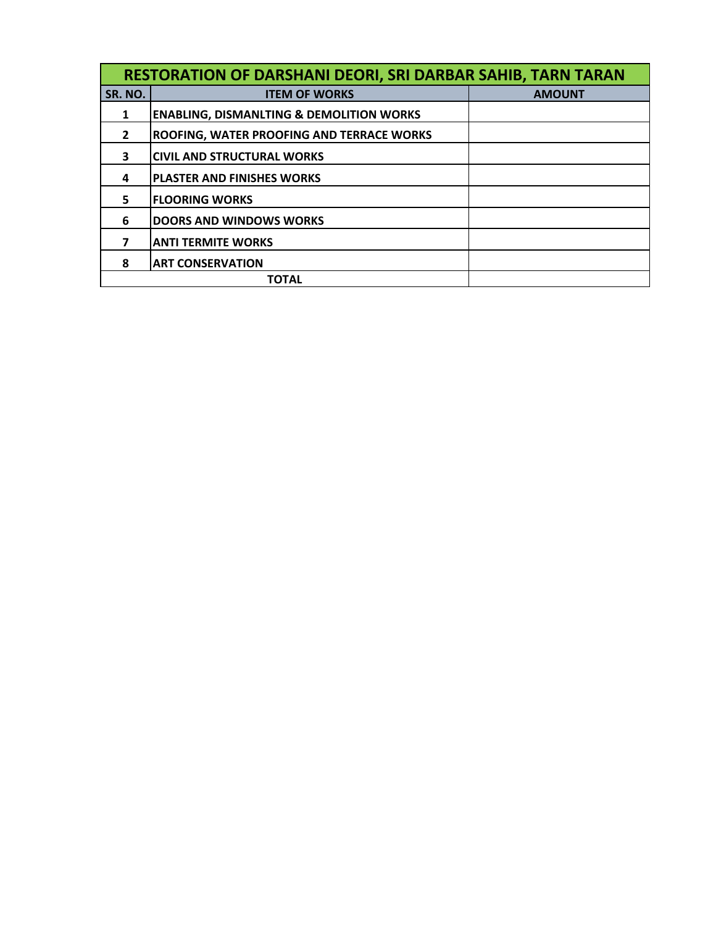| <b>RESTORATION OF DARSHANI DEORI, SRI DARBAR SAHIB, TARN TARAN</b> |                                                     |               |  |  |  |
|--------------------------------------------------------------------|-----------------------------------------------------|---------------|--|--|--|
| SR. NO.                                                            | <b>ITEM OF WORKS</b>                                | <b>AMOUNT</b> |  |  |  |
| 1                                                                  | <b>ENABLING, DISMANLTING &amp; DEMOLITION WORKS</b> |               |  |  |  |
| 2                                                                  | <b>ROOFING, WATER PROOFING AND TERRACE WORKS</b>    |               |  |  |  |
| 3                                                                  | ICIVIL AND STRUCTURAL WORKS                         |               |  |  |  |
| 4                                                                  | <b>PLASTER AND FINISHES WORKS</b>                   |               |  |  |  |
| 5                                                                  | <b>FLOORING WORKS</b>                               |               |  |  |  |
| 6                                                                  | <b>DOORS AND WINDOWS WORKS</b>                      |               |  |  |  |
| 7                                                                  | <b>ANTI TERMITE WORKS</b>                           |               |  |  |  |
| 8                                                                  | <b>ART CONSERVATION</b>                             |               |  |  |  |
|                                                                    | <b>TOTAL</b>                                        |               |  |  |  |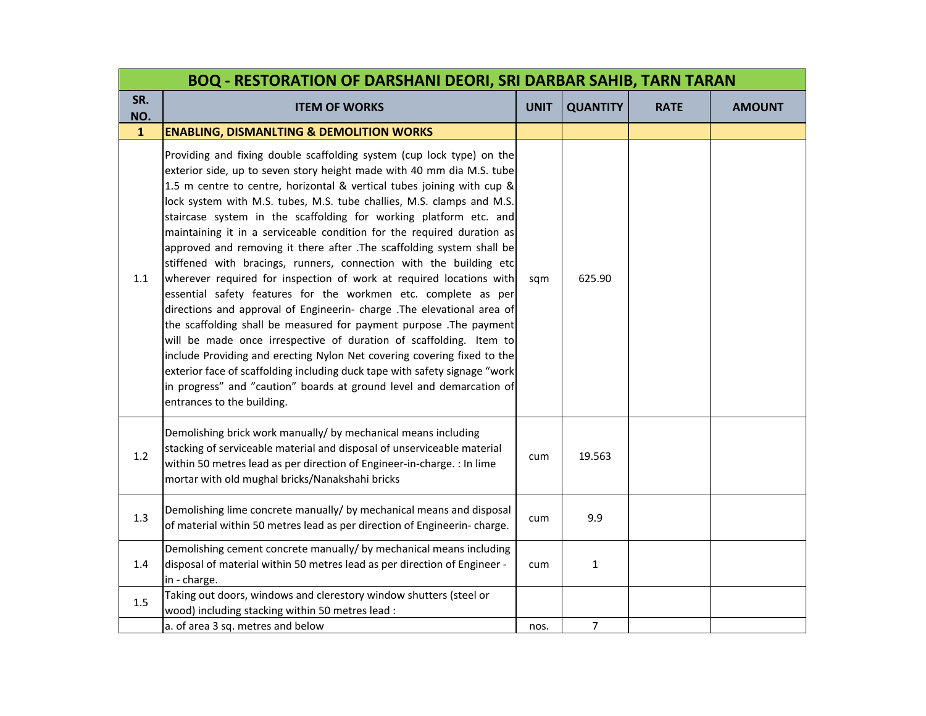|              | <b>BOQ - RESTORATION OF DARSHANI DEORI, SRI DARBAR SAHIB, TARN TARAN</b>                                                                                                                                                                                                                                                                                                                                                                                                                                                                                                                                                                                                                                                                                                                                                                                                                                                                                                                                                                                                                                                                                                                                                      |             |                 |             |               |  |
|--------------|-------------------------------------------------------------------------------------------------------------------------------------------------------------------------------------------------------------------------------------------------------------------------------------------------------------------------------------------------------------------------------------------------------------------------------------------------------------------------------------------------------------------------------------------------------------------------------------------------------------------------------------------------------------------------------------------------------------------------------------------------------------------------------------------------------------------------------------------------------------------------------------------------------------------------------------------------------------------------------------------------------------------------------------------------------------------------------------------------------------------------------------------------------------------------------------------------------------------------------|-------------|-----------------|-------------|---------------|--|
| SR.<br>NO.   | <b>ITEM OF WORKS</b>                                                                                                                                                                                                                                                                                                                                                                                                                                                                                                                                                                                                                                                                                                                                                                                                                                                                                                                                                                                                                                                                                                                                                                                                          | <b>UNIT</b> | <b>QUANTITY</b> | <b>RATE</b> | <b>AMOUNT</b> |  |
| $\mathbf{1}$ | <b>ENABLING, DISMANLTING &amp; DEMOLITION WORKS</b>                                                                                                                                                                                                                                                                                                                                                                                                                                                                                                                                                                                                                                                                                                                                                                                                                                                                                                                                                                                                                                                                                                                                                                           |             |                 |             |               |  |
| 1.1          | Providing and fixing double scaffolding system (cup lock type) on the<br>exterior side, up to seven story height made with 40 mm dia M.S. tube<br>1.5 m centre to centre, horizontal & vertical tubes joining with cup &<br>lock system with M.S. tubes, M.S. tube challies, M.S. clamps and M.S.<br>staircase system in the scaffolding for working platform etc. and<br>maintaining it in a serviceable condition for the required duration as<br>approved and removing it there after .The scaffolding system shall be<br>stiffened with bracings, runners, connection with the building etc<br>wherever required for inspection of work at required locations with<br>essential safety features for the workmen etc. complete as per<br>directions and approval of Engineerin- charge .The elevational area of<br>the scaffolding shall be measured for payment purpose .The payment<br>will be made once irrespective of duration of scaffolding. Item to<br>include Providing and erecting Nylon Net covering covering fixed to the<br>exterior face of scaffolding including duck tape with safety signage "work<br>in progress" and "caution" boards at ground level and demarcation of<br>entrances to the building. | sqm         | 625.90          |             |               |  |
| 1.2          | Demolishing brick work manually/ by mechanical means including<br>stacking of serviceable material and disposal of unserviceable material<br>within 50 metres lead as per direction of Engineer-in-charge. : In lime<br>mortar with old mughal bricks/Nanakshahi bricks                                                                                                                                                                                                                                                                                                                                                                                                                                                                                                                                                                                                                                                                                                                                                                                                                                                                                                                                                       | cum         | 19.563          |             |               |  |
| 1.3          | Demolishing lime concrete manually/ by mechanical means and disposal<br>of material within 50 metres lead as per direction of Engineerin-charge.                                                                                                                                                                                                                                                                                                                                                                                                                                                                                                                                                                                                                                                                                                                                                                                                                                                                                                                                                                                                                                                                              | cum         | 9.9             |             |               |  |
| 1.4          | Demolishing cement concrete manually/ by mechanical means including<br>disposal of material within 50 metres lead as per direction of Engineer -<br>in - charge.                                                                                                                                                                                                                                                                                                                                                                                                                                                                                                                                                                                                                                                                                                                                                                                                                                                                                                                                                                                                                                                              | cum         | $\mathbf{1}$    |             |               |  |
| 1.5          | Taking out doors, windows and clerestory window shutters (steel or<br>wood) including stacking within 50 metres lead :                                                                                                                                                                                                                                                                                                                                                                                                                                                                                                                                                                                                                                                                                                                                                                                                                                                                                                                                                                                                                                                                                                        |             |                 |             |               |  |
|              | a. of area 3 sq. metres and below                                                                                                                                                                                                                                                                                                                                                                                                                                                                                                                                                                                                                                                                                                                                                                                                                                                                                                                                                                                                                                                                                                                                                                                             | nos.        | $\overline{7}$  |             |               |  |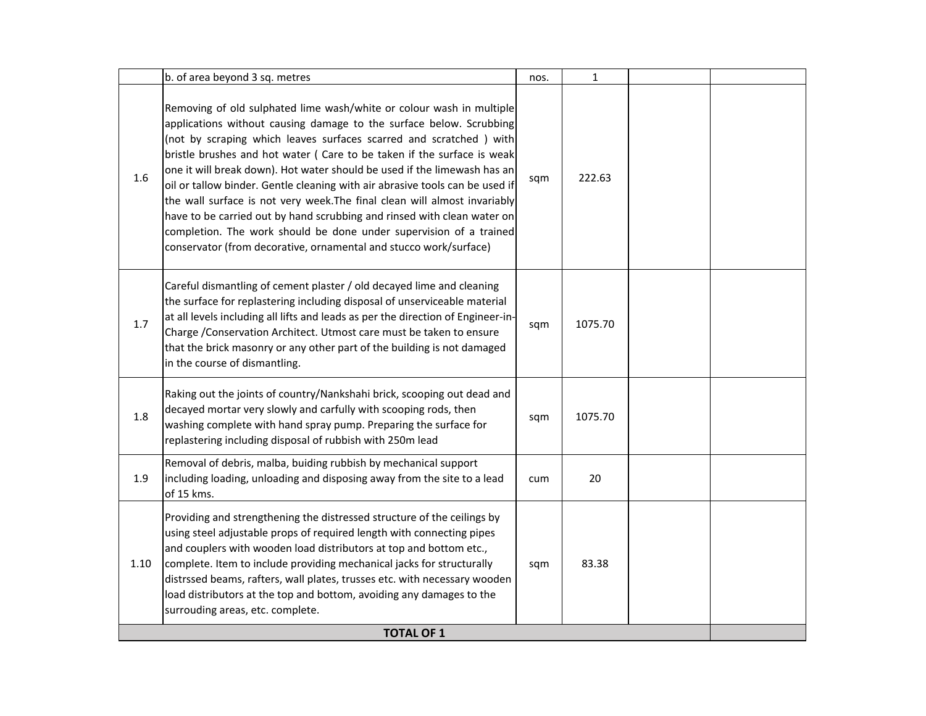| Removing of old sulphated lime wash/white or colour wash in multiple<br>applications without causing damage to the surface below. Scrubbing<br>(not by scraping which leaves surfaces scarred and scratched) with<br>bristle brushes and hot water ( Care to be taken if the surface is weak<br>one it will break down). Hot water should be used if the limewash has an<br>1.6<br>222.63<br>sqm<br>oil or tallow binder. Gentle cleaning with air abrasive tools can be used if                                                      |  |
|---------------------------------------------------------------------------------------------------------------------------------------------------------------------------------------------------------------------------------------------------------------------------------------------------------------------------------------------------------------------------------------------------------------------------------------------------------------------------------------------------------------------------------------|--|
| the wall surface is not very week. The final clean will almost invariably<br>have to be carried out by hand scrubbing and rinsed with clean water on<br>completion. The work should be done under supervision of a trained<br>conservator (from decorative, ornamental and stucco work/surface)                                                                                                                                                                                                                                       |  |
| Careful dismantling of cement plaster / old decayed lime and cleaning<br>the surface for replastering including disposal of unserviceable material<br>at all levels including all lifts and leads as per the direction of Engineer-in-<br>1.7<br>1075.70<br>sqm<br>Charge / Conservation Architect. Utmost care must be taken to ensure<br>that the brick masonry or any other part of the building is not damaged<br>in the course of dismantling.                                                                                   |  |
| Raking out the joints of country/Nankshahi brick, scooping out dead and<br>decayed mortar very slowly and carfully with scooping rods, then<br>1.8<br>1075.70<br>sqm<br>washing complete with hand spray pump. Preparing the surface for<br>replastering including disposal of rubbish with 250m lead                                                                                                                                                                                                                                 |  |
| Removal of debris, malba, buiding rubbish by mechanical support<br>1.9<br>including loading, unloading and disposing away from the site to a lead<br>20<br>cum<br>of 15 kms.                                                                                                                                                                                                                                                                                                                                                          |  |
| Providing and strengthening the distressed structure of the ceilings by<br>using steel adjustable props of required length with connecting pipes<br>and couplers with wooden load distributors at top and bottom etc.,<br>83.38<br>1.10<br>complete. Item to include providing mechanical jacks for structurally<br>sqm<br>distrssed beams, rafters, wall plates, trusses etc. with necessary wooden<br>load distributors at the top and bottom, avoiding any damages to the<br>surrouding areas, etc. complete.<br><b>TOTAL OF 1</b> |  |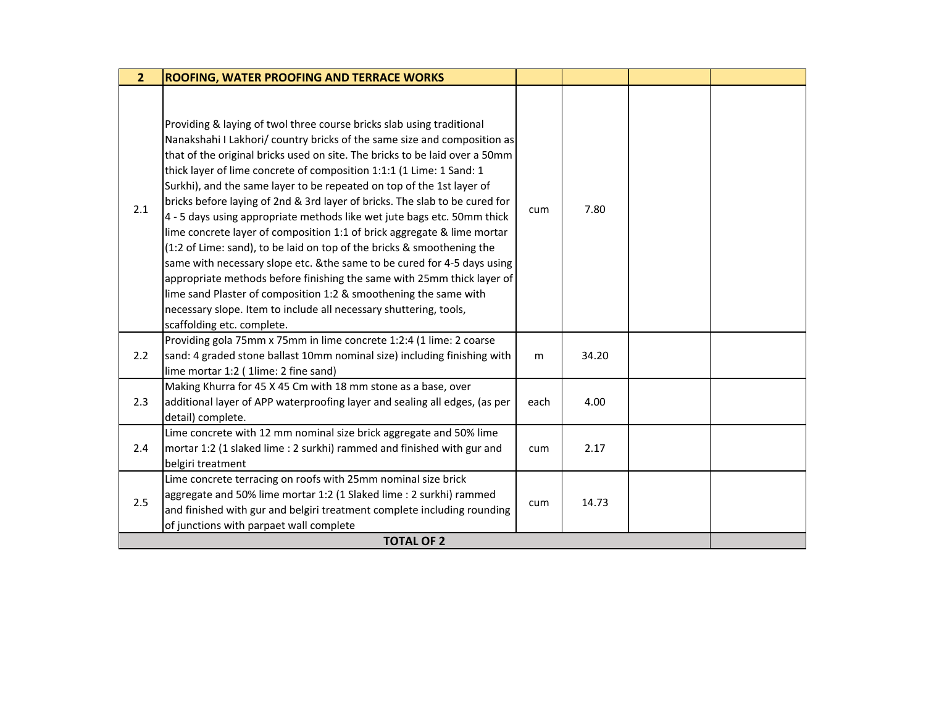| Providing & laying of twol three course bricks slab using traditional<br>Nanakshahi I Lakhori/ country bricks of the same size and composition as<br>that of the original bricks used on site. The bricks to be laid over a 50mm<br>thick layer of lime concrete of composition 1:1:1 (1 Lime: 1 Sand: 1<br>Surkhi), and the same layer to be repeated on top of the 1st layer of<br>bricks before laying of 2nd & 3rd layer of bricks. The slab to be cured for<br>2.1<br>7.80<br>cum<br>4 - 5 days using appropriate methods like wet jute bags etc. 50mm thick<br>lime concrete layer of composition 1:1 of brick aggregate & lime mortar<br>(1:2 of Lime: sand), to be laid on top of the bricks & smoothening the<br>same with necessary slope etc. & the same to be cured for 4-5 days using<br>appropriate methods before finishing the same with 25mm thick layer of<br>lime sand Plaster of composition 1:2 & smoothening the same with<br>necessary slope. Item to include all necessary shuttering, tools,<br>scaffolding etc. complete.<br>Providing gola 75mm x 75mm in lime concrete 1:2:4 (1 lime: 2 coarse<br>2.2<br>sand: 4 graded stone ballast 10mm nominal size) including finishing with<br>34.20<br>m<br>lime mortar 1:2 ( 1lime: 2 fine sand)<br>Making Khurra for 45 X 45 Cm with 18 mm stone as a base, over<br>2.3<br>additional layer of APP waterproofing layer and sealing all edges, (as per<br>4.00<br>each<br>detail) complete.<br>Lime concrete with 12 mm nominal size brick aggregate and 50% lime<br>2.4<br>mortar 1:2 (1 slaked lime : 2 surkhi) rammed and finished with gur and<br>2.17<br>cum<br>belgiri treatment | $\overline{2}$ | <b>ROOFING, WATER PROOFING AND TERRACE WORKS</b>              |  |  |
|------------------------------------------------------------------------------------------------------------------------------------------------------------------------------------------------------------------------------------------------------------------------------------------------------------------------------------------------------------------------------------------------------------------------------------------------------------------------------------------------------------------------------------------------------------------------------------------------------------------------------------------------------------------------------------------------------------------------------------------------------------------------------------------------------------------------------------------------------------------------------------------------------------------------------------------------------------------------------------------------------------------------------------------------------------------------------------------------------------------------------------------------------------------------------------------------------------------------------------------------------------------------------------------------------------------------------------------------------------------------------------------------------------------------------------------------------------------------------------------------------------------------------------------------------------------------------------------------------------------------------------------------------------|----------------|---------------------------------------------------------------|--|--|
|                                                                                                                                                                                                                                                                                                                                                                                                                                                                                                                                                                                                                                                                                                                                                                                                                                                                                                                                                                                                                                                                                                                                                                                                                                                                                                                                                                                                                                                                                                                                                                                                                                                            |                |                                                               |  |  |
|                                                                                                                                                                                                                                                                                                                                                                                                                                                                                                                                                                                                                                                                                                                                                                                                                                                                                                                                                                                                                                                                                                                                                                                                                                                                                                                                                                                                                                                                                                                                                                                                                                                            |                |                                                               |  |  |
|                                                                                                                                                                                                                                                                                                                                                                                                                                                                                                                                                                                                                                                                                                                                                                                                                                                                                                                                                                                                                                                                                                                                                                                                                                                                                                                                                                                                                                                                                                                                                                                                                                                            |                |                                                               |  |  |
|                                                                                                                                                                                                                                                                                                                                                                                                                                                                                                                                                                                                                                                                                                                                                                                                                                                                                                                                                                                                                                                                                                                                                                                                                                                                                                                                                                                                                                                                                                                                                                                                                                                            |                |                                                               |  |  |
| aggregate and 50% lime mortar 1:2 (1 Slaked lime : 2 surkhi) rammed<br>2.5<br>14.73<br>cum<br>and finished with gur and belgiri treatment complete including rounding<br>of junctions with parpaet wall complete<br><b>TOTAL OF 2</b>                                                                                                                                                                                                                                                                                                                                                                                                                                                                                                                                                                                                                                                                                                                                                                                                                                                                                                                                                                                                                                                                                                                                                                                                                                                                                                                                                                                                                      |                | Lime concrete terracing on roofs with 25mm nominal size brick |  |  |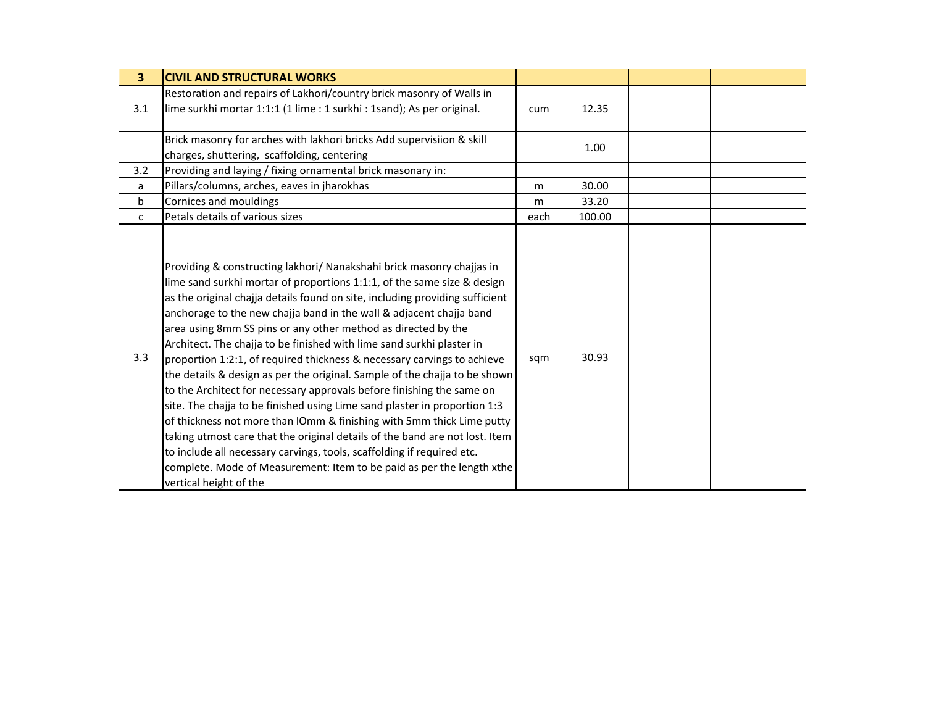| $\overline{\mathbf{3}}$ | <b>CIVIL AND STRUCTURAL WORKS</b>                                                                                                                                                                                                                                                                                                                                                                                                                                                                                                                                                                                                                                                                                                                                                                                                                                                                                                                                                                                                                                                                     |      |        |  |
|-------------------------|-------------------------------------------------------------------------------------------------------------------------------------------------------------------------------------------------------------------------------------------------------------------------------------------------------------------------------------------------------------------------------------------------------------------------------------------------------------------------------------------------------------------------------------------------------------------------------------------------------------------------------------------------------------------------------------------------------------------------------------------------------------------------------------------------------------------------------------------------------------------------------------------------------------------------------------------------------------------------------------------------------------------------------------------------------------------------------------------------------|------|--------|--|
| 3.1                     | Restoration and repairs of Lakhori/country brick masonry of Walls in<br>lime surkhi mortar 1:1:1 (1 lime : 1 surkhi : 1sand); As per original.                                                                                                                                                                                                                                                                                                                                                                                                                                                                                                                                                                                                                                                                                                                                                                                                                                                                                                                                                        | cum  | 12.35  |  |
|                         | Brick masonry for arches with lakhori bricks Add supervisiion & skill<br>charges, shuttering, scaffolding, centering                                                                                                                                                                                                                                                                                                                                                                                                                                                                                                                                                                                                                                                                                                                                                                                                                                                                                                                                                                                  |      | 1.00   |  |
| 3.2                     | Providing and laying / fixing ornamental brick masonary in:                                                                                                                                                                                                                                                                                                                                                                                                                                                                                                                                                                                                                                                                                                                                                                                                                                                                                                                                                                                                                                           |      |        |  |
| a                       | Pillars/columns, arches, eaves in jharokhas                                                                                                                                                                                                                                                                                                                                                                                                                                                                                                                                                                                                                                                                                                                                                                                                                                                                                                                                                                                                                                                           | m    | 30.00  |  |
| b                       | Cornices and mouldings                                                                                                                                                                                                                                                                                                                                                                                                                                                                                                                                                                                                                                                                                                                                                                                                                                                                                                                                                                                                                                                                                | m    | 33.20  |  |
| C                       | Petals details of various sizes                                                                                                                                                                                                                                                                                                                                                                                                                                                                                                                                                                                                                                                                                                                                                                                                                                                                                                                                                                                                                                                                       | each | 100.00 |  |
| 3.3                     | Providing & constructing lakhori/ Nanakshahi brick masonry chajjas in<br>lime sand surkhi mortar of proportions 1:1:1, of the same size & design<br>as the original chajja details found on site, including providing sufficient<br>anchorage to the new chajja band in the wall & adjacent chajja band<br>area using 8mm SS pins or any other method as directed by the<br>Architect. The chajja to be finished with lime sand surkhi plaster in<br>proportion 1:2:1, of required thickness & necessary carvings to achieve<br>the details & design as per the original. Sample of the chajja to be shown<br>to the Architect for necessary approvals before finishing the same on<br>site. The chajja to be finished using Lime sand plaster in proportion 1:3<br>of thickness not more than IOmm & finishing with 5mm thick Lime putty<br>taking utmost care that the original details of the band are not lost. Item<br>to include all necessary carvings, tools, scaffolding if required etc.<br>complete. Mode of Measurement: Item to be paid as per the length xthe<br>vertical height of the | sqm  | 30.93  |  |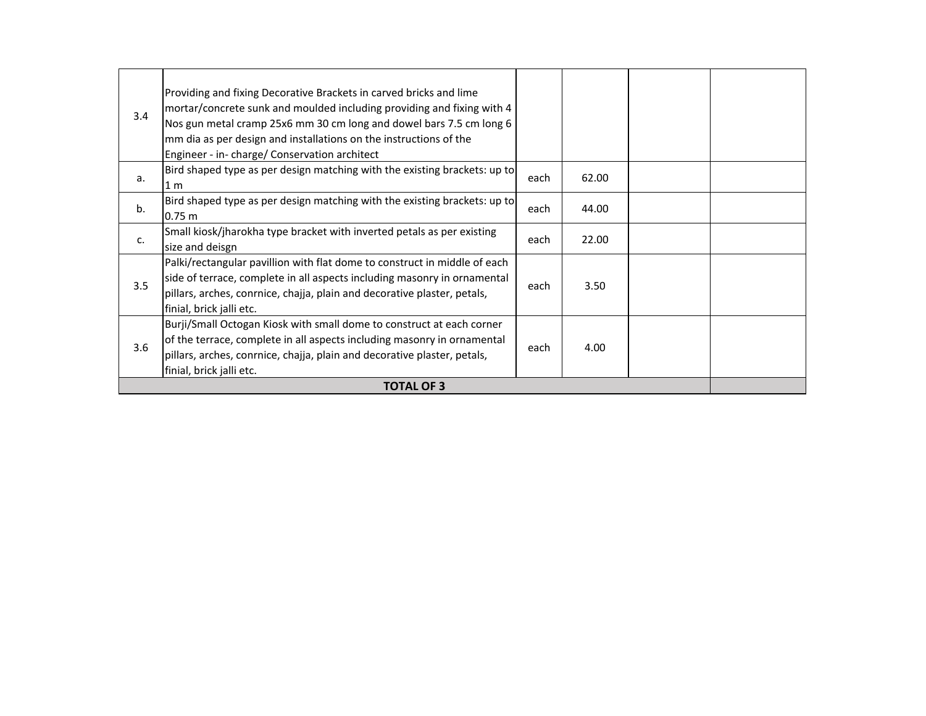| 3.4 | Providing and fixing Decorative Brackets in carved bricks and lime<br>mortar/concrete sunk and moulded including providing and fixing with 4<br>Nos gun metal cramp 25x6 mm 30 cm long and dowel bars 7.5 cm long 6<br>mm dia as per design and installations on the instructions of the<br>Engineer - in- charge/ Conservation architect |      |       |  |  |  |
|-----|-------------------------------------------------------------------------------------------------------------------------------------------------------------------------------------------------------------------------------------------------------------------------------------------------------------------------------------------|------|-------|--|--|--|
| a.  | Bird shaped type as per design matching with the existing brackets: up to<br>1 <sub>m</sub>                                                                                                                                                                                                                                               | each | 62.00 |  |  |  |
| b.  | Bird shaped type as per design matching with the existing brackets: up to<br>0.75 m                                                                                                                                                                                                                                                       | each | 44.00 |  |  |  |
| c.  | Small kiosk/jharokha type bracket with inverted petals as per existing<br>size and deisgn                                                                                                                                                                                                                                                 | each | 22.00 |  |  |  |
| 3.5 | Palki/rectangular pavillion with flat dome to construct in middle of each<br>side of terrace, complete in all aspects including masonry in ornamental<br>pillars, arches, conrnice, chajja, plain and decorative plaster, petals,<br>finial, brick jalli etc.                                                                             | each | 3.50  |  |  |  |
| 3.6 | Burji/Small Octogan Kiosk with small dome to construct at each corner<br>of the terrace, complete in all aspects including masonry in ornamental<br>pillars, arches, conrnice, chajja, plain and decorative plaster, petals,<br>finial, brick jalli etc.                                                                                  | each | 4.00  |  |  |  |
|     | <b>TOTAL OF 3</b>                                                                                                                                                                                                                                                                                                                         |      |       |  |  |  |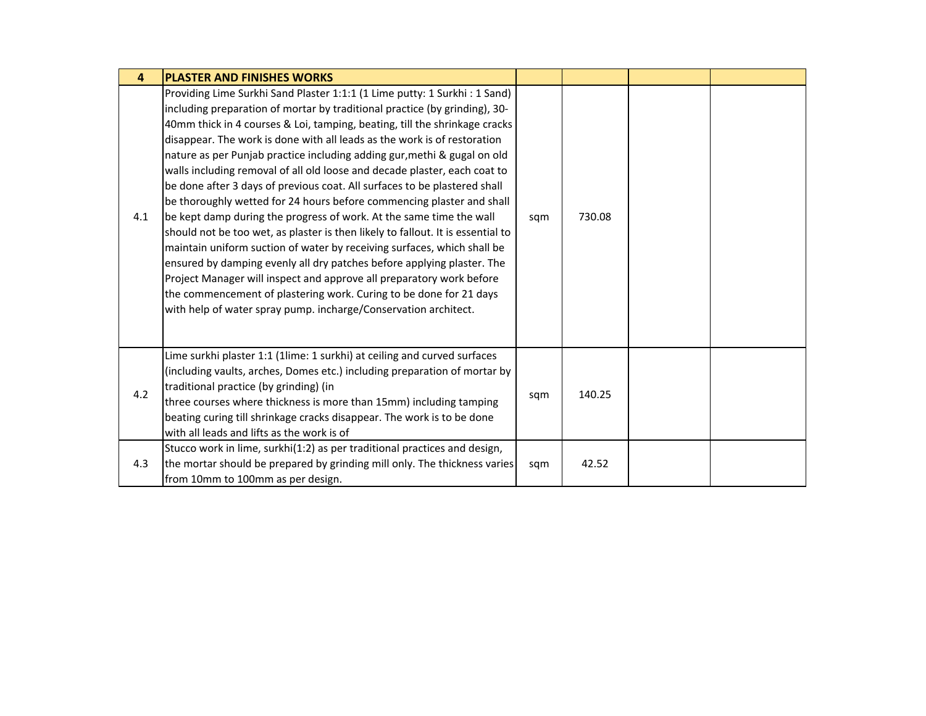| $\overline{\mathbf{4}}$ | <b>PLASTER AND FINISHES WORKS</b>                                                                                                                                                                                                                                                                                                                                                                                                                                                                                                                                                                                                                                                                                                                                                                                                                                                                                                                                                                                                                                                                                                                                 |     |        |  |
|-------------------------|-------------------------------------------------------------------------------------------------------------------------------------------------------------------------------------------------------------------------------------------------------------------------------------------------------------------------------------------------------------------------------------------------------------------------------------------------------------------------------------------------------------------------------------------------------------------------------------------------------------------------------------------------------------------------------------------------------------------------------------------------------------------------------------------------------------------------------------------------------------------------------------------------------------------------------------------------------------------------------------------------------------------------------------------------------------------------------------------------------------------------------------------------------------------|-----|--------|--|
| 4.1                     | Providing Lime Surkhi Sand Plaster 1:1:1 (1 Lime putty: 1 Surkhi : 1 Sand)<br>including preparation of mortar by traditional practice (by grinding), 30-<br>40mm thick in 4 courses & Loi, tamping, beating, till the shrinkage cracks<br>disappear. The work is done with all leads as the work is of restoration<br>nature as per Punjab practice including adding gur, methi & gugal on old<br>walls including removal of all old loose and decade plaster, each coat to<br>be done after 3 days of previous coat. All surfaces to be plastered shall<br>be thoroughly wetted for 24 hours before commencing plaster and shall<br>be kept damp during the progress of work. At the same time the wall<br>should not be too wet, as plaster is then likely to fallout. It is essential to<br>maintain uniform suction of water by receiving surfaces, which shall be<br>ensured by damping evenly all dry patches before applying plaster. The<br>Project Manager will inspect and approve all preparatory work before<br>the commencement of plastering work. Curing to be done for 21 days<br>with help of water spray pump. incharge/Conservation architect. | sqm | 730.08 |  |
| 4.2                     | Lime surkhi plaster 1:1 (1lime: 1 surkhi) at ceiling and curved surfaces<br>(including vaults, arches, Domes etc.) including preparation of mortar by<br>traditional practice (by grinding) (in<br>three courses where thickness is more than 15mm) including tamping<br>beating curing till shrinkage cracks disappear. The work is to be done<br>with all leads and lifts as the work is of                                                                                                                                                                                                                                                                                                                                                                                                                                                                                                                                                                                                                                                                                                                                                                     | sqm | 140.25 |  |
| 4.3                     | Stucco work in lime, surkhi(1:2) as per traditional practices and design,<br>the mortar should be prepared by grinding mill only. The thickness varies<br>from 10mm to 100mm as per design.                                                                                                                                                                                                                                                                                                                                                                                                                                                                                                                                                                                                                                                                                                                                                                                                                                                                                                                                                                       | sqm | 42.52  |  |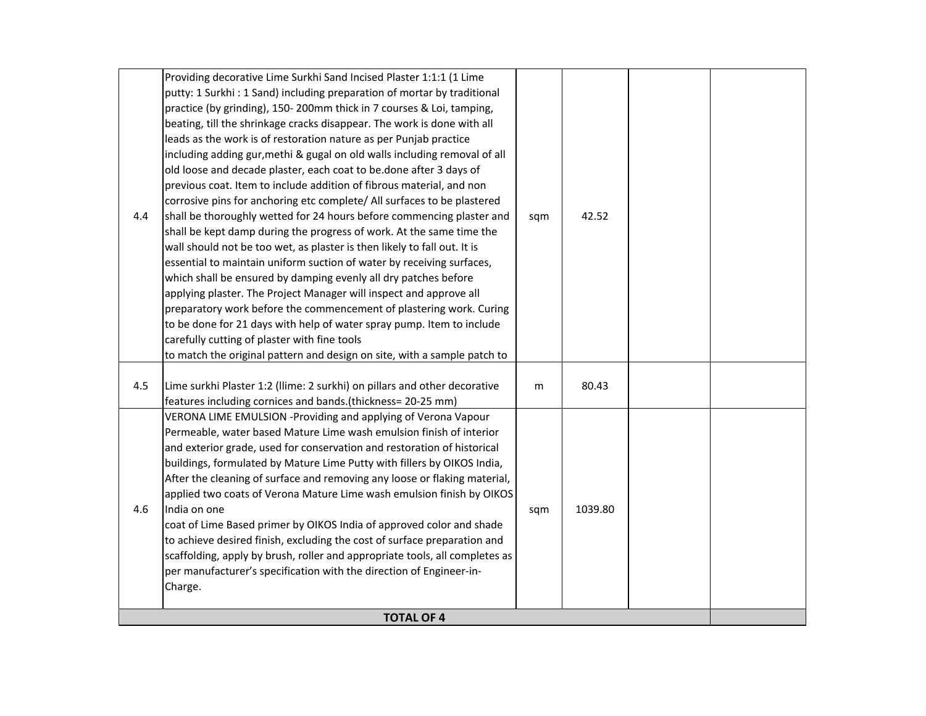| 4.4 | Providing decorative Lime Surkhi Sand Incised Plaster 1:1:1 (1 Lime<br>putty: 1 Surkhi: 1 Sand) including preparation of mortar by traditional<br>practice (by grinding), 150-200mm thick in 7 courses & Loi, tamping,<br>beating, till the shrinkage cracks disappear. The work is done with all<br>leads as the work is of restoration nature as per Punjab practice<br>including adding gur, methi & gugal on old walls including removal of all<br>old loose and decade plaster, each coat to be.done after 3 days of<br>previous coat. Item to include addition of fibrous material, and non<br>corrosive pins for anchoring etc complete/ All surfaces to be plastered<br>shall be thoroughly wetted for 24 hours before commencing plaster and<br>shall be kept damp during the progress of work. At the same time the<br>wall should not be too wet, as plaster is then likely to fall out. It is<br>essential to maintain uniform suction of water by receiving surfaces,<br>which shall be ensured by damping evenly all dry patches before<br>applying plaster. The Project Manager will inspect and approve all<br>preparatory work before the commencement of plastering work. Curing<br>to be done for 21 days with help of water spray pump. Item to include<br>carefully cutting of plaster with fine tools<br>to match the original pattern and design on site, with a sample patch to | sqm | 42.52   |  |
|-----|---------------------------------------------------------------------------------------------------------------------------------------------------------------------------------------------------------------------------------------------------------------------------------------------------------------------------------------------------------------------------------------------------------------------------------------------------------------------------------------------------------------------------------------------------------------------------------------------------------------------------------------------------------------------------------------------------------------------------------------------------------------------------------------------------------------------------------------------------------------------------------------------------------------------------------------------------------------------------------------------------------------------------------------------------------------------------------------------------------------------------------------------------------------------------------------------------------------------------------------------------------------------------------------------------------------------------------------------------------------------------------------------------------|-----|---------|--|
| 4.5 | Lime surkhi Plaster 1:2 (Ilime: 2 surkhi) on pillars and other decorative<br>features including cornices and bands.(thickness= 20-25 mm)                                                                                                                                                                                                                                                                                                                                                                                                                                                                                                                                                                                                                                                                                                                                                                                                                                                                                                                                                                                                                                                                                                                                                                                                                                                                | m   | 80.43   |  |
| 4.6 | VERONA LIME EMULSION -Providing and applying of Verona Vapour<br>Permeable, water based Mature Lime wash emulsion finish of interior<br>and exterior grade, used for conservation and restoration of historical<br>buildings, formulated by Mature Lime Putty with fillers by OIKOS India,<br>After the cleaning of surface and removing any loose or flaking material,<br>applied two coats of Verona Mature Lime wash emulsion finish by OIKOS<br>India on one<br>coat of Lime Based primer by OIKOS India of approved color and shade<br>to achieve desired finish, excluding the cost of surface preparation and<br>scaffolding, apply by brush, roller and appropriate tools, all completes as<br>per manufacturer's specification with the direction of Engineer-in-<br>Charge.<br><b>TOTAL OF 4</b>                                                                                                                                                                                                                                                                                                                                                                                                                                                                                                                                                                                              | sqm | 1039.80 |  |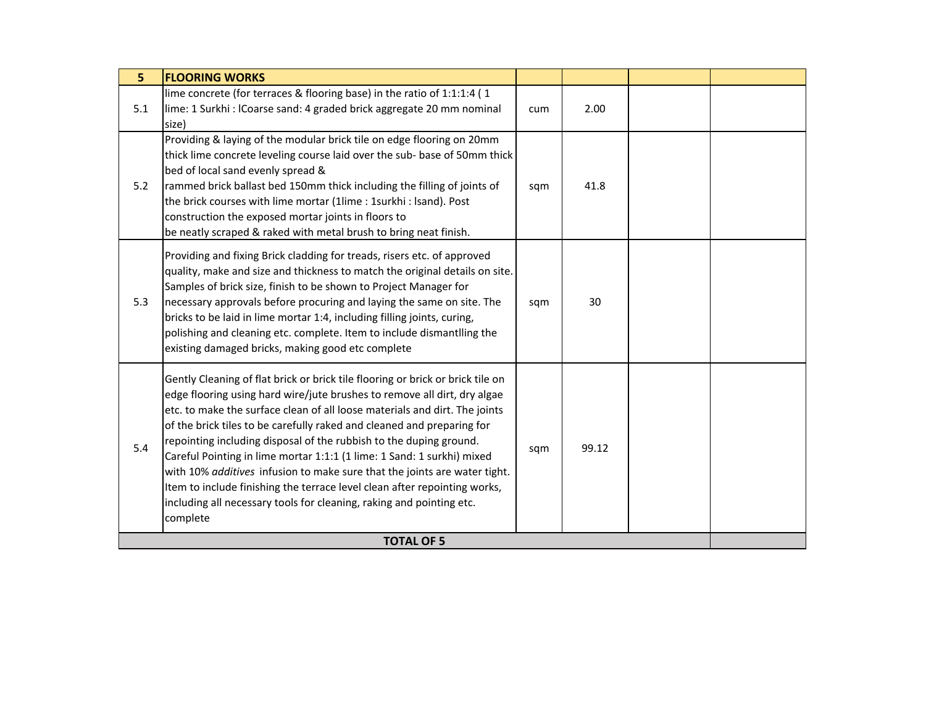| 5 <sup>1</sup> | <b>FLOORING WORKS</b>                                                                                                                                                                                                                                                                                                                                                                                                                                                                                                                                                                                                                                                                                            |     |       |  |
|----------------|------------------------------------------------------------------------------------------------------------------------------------------------------------------------------------------------------------------------------------------------------------------------------------------------------------------------------------------------------------------------------------------------------------------------------------------------------------------------------------------------------------------------------------------------------------------------------------------------------------------------------------------------------------------------------------------------------------------|-----|-------|--|
| 5.1            | lime concrete (for terraces & flooring base) in the ratio of 1:1:1:4 (1<br>lime: 1 Surkhi : ICoarse sand: 4 graded brick aggregate 20 mm nominal<br>size)                                                                                                                                                                                                                                                                                                                                                                                                                                                                                                                                                        | cum | 2.00  |  |
| 5.2            | Providing & laying of the modular brick tile on edge flooring on 20mm<br>thick lime concrete leveling course laid over the sub- base of 50mm thick<br>bed of local sand evenly spread &<br>rammed brick ballast bed 150mm thick including the filling of joints of<br>the brick courses with lime mortar (1lime: 1surkhi: Isand). Post<br>construction the exposed mortar joints in floors to<br>be neatly scraped & raked with metal brush to bring neat finish.                                                                                                                                                                                                                                                | sqm | 41.8  |  |
| 5.3            | Providing and fixing Brick cladding for treads, risers etc. of approved<br>quality, make and size and thickness to match the original details on site.<br>Samples of brick size, finish to be shown to Project Manager for<br>necessary approvals before procuring and laying the same on site. The<br>bricks to be laid in lime mortar 1:4, including filling joints, curing,<br>polishing and cleaning etc. complete. Item to include dismantlling the<br>existing damaged bricks, making good etc complete                                                                                                                                                                                                    | sqm | 30    |  |
| 5.4            | Gently Cleaning of flat brick or brick tile flooring or brick or brick tile on<br>edge flooring using hard wire/jute brushes to remove all dirt, dry algae<br>etc. to make the surface clean of all loose materials and dirt. The joints<br>of the brick tiles to be carefully raked and cleaned and preparing for<br>repointing including disposal of the rubbish to the duping ground.<br>Careful Pointing in lime mortar 1:1:1 (1 lime: 1 Sand: 1 surkhi) mixed<br>with 10% additives infusion to make sure that the joints are water tight.<br>Item to include finishing the terrace level clean after repointing works,<br>including all necessary tools for cleaning, raking and pointing etc.<br>complete | sqm | 99.12 |  |
|                | <b>TOTAL OF 5</b>                                                                                                                                                                                                                                                                                                                                                                                                                                                                                                                                                                                                                                                                                                |     |       |  |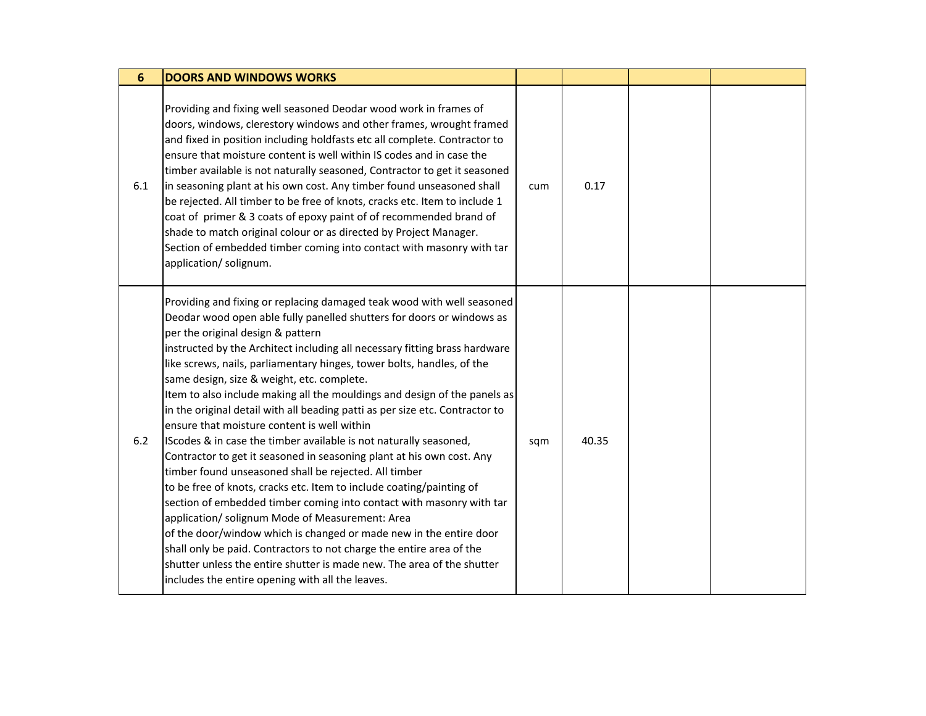| $6\phantom{1}6$ | <b>DOORS AND WINDOWS WORKS</b>                                                                                                                                                                                                                                                                                                                                                                                                                                                                                                                                                                                                                                                                                                                                                                                                                                                                                                                                                                                                                                                                                                                                                                                                                                                               |     |       |  |
|-----------------|----------------------------------------------------------------------------------------------------------------------------------------------------------------------------------------------------------------------------------------------------------------------------------------------------------------------------------------------------------------------------------------------------------------------------------------------------------------------------------------------------------------------------------------------------------------------------------------------------------------------------------------------------------------------------------------------------------------------------------------------------------------------------------------------------------------------------------------------------------------------------------------------------------------------------------------------------------------------------------------------------------------------------------------------------------------------------------------------------------------------------------------------------------------------------------------------------------------------------------------------------------------------------------------------|-----|-------|--|
| 6.1             | Providing and fixing well seasoned Deodar wood work in frames of<br>doors, windows, clerestory windows and other frames, wrought framed<br>and fixed in position including holdfasts etc all complete. Contractor to<br>ensure that moisture content is well within IS codes and in case the<br>timber available is not naturally seasoned, Contractor to get it seasoned<br>in seasoning plant at his own cost. Any timber found unseasoned shall<br>be rejected. All timber to be free of knots, cracks etc. Item to include 1<br>coat of primer & 3 coats of epoxy paint of of recommended brand of<br>shade to match original colour or as directed by Project Manager.<br>Section of embedded timber coming into contact with masonry with tar<br>application/ solignum.                                                                                                                                                                                                                                                                                                                                                                                                                                                                                                                | cum | 0.17  |  |
| $6.2$           | Providing and fixing or replacing damaged teak wood with well seasoned<br>Deodar wood open able fully panelled shutters for doors or windows as<br>per the original design & pattern<br>instructed by the Architect including all necessary fitting brass hardware<br>like screws, nails, parliamentary hinges, tower bolts, handles, of the<br>same design, size & weight, etc. complete.<br>Item to also include making all the mouldings and design of the panels as<br>in the original detail with all beading patti as per size etc. Contractor to<br>ensure that moisture content is well within<br>IScodes & in case the timber available is not naturally seasoned,<br>Contractor to get it seasoned in seasoning plant at his own cost. Any<br>timber found unseasoned shall be rejected. All timber<br>to be free of knots, cracks etc. Item to include coating/painting of<br>section of embedded timber coming into contact with masonry with tar<br>application/ solignum Mode of Measurement: Area<br>of the door/window which is changed or made new in the entire door<br>shall only be paid. Contractors to not charge the entire area of the<br>shutter unless the entire shutter is made new. The area of the shutter<br>includes the entire opening with all the leaves. | sqm | 40.35 |  |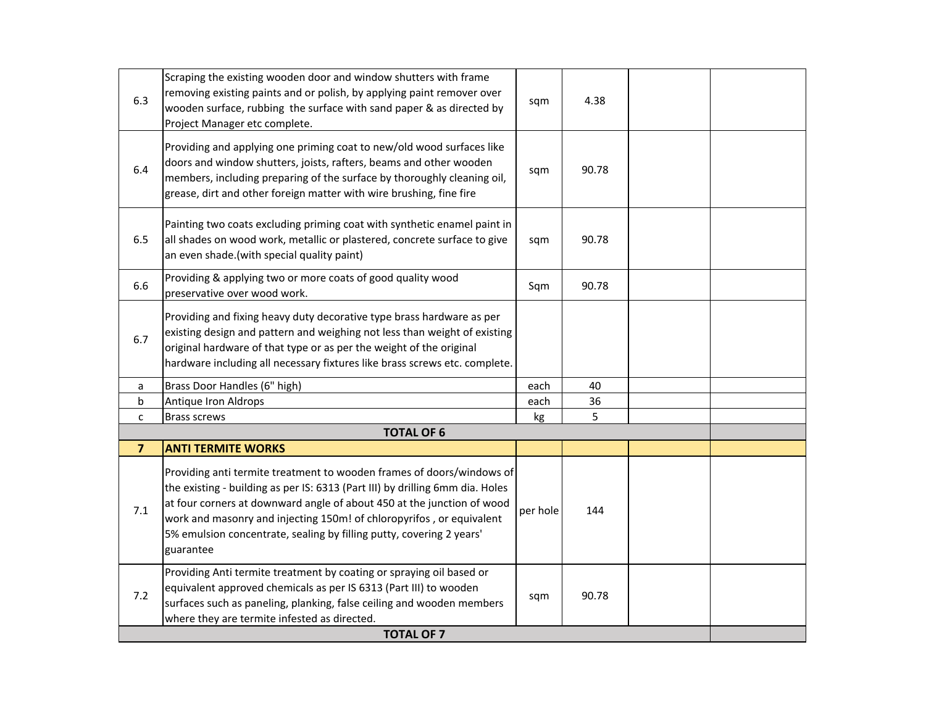| 6.3            | Scraping the existing wooden door and window shutters with frame<br>removing existing paints and or polish, by applying paint remover over<br>wooden surface, rubbing the surface with sand paper & as directed by<br>Project Manager etc complete.                                                                                                                                           | sqm      | 4.38  |  |
|----------------|-----------------------------------------------------------------------------------------------------------------------------------------------------------------------------------------------------------------------------------------------------------------------------------------------------------------------------------------------------------------------------------------------|----------|-------|--|
| 6.4            | Providing and applying one priming coat to new/old wood surfaces like<br>doors and window shutters, joists, rafters, beams and other wooden<br>members, including preparing of the surface by thoroughly cleaning oil,<br>grease, dirt and other foreign matter with wire brushing, fine fire                                                                                                 | sqm      | 90.78 |  |
| 6.5            | Painting two coats excluding priming coat with synthetic enamel paint in<br>all shades on wood work, metallic or plastered, concrete surface to give<br>an even shade.(with special quality paint)                                                                                                                                                                                            | sqm      | 90.78 |  |
| 6.6            | Providing & applying two or more coats of good quality wood<br>preservative over wood work.                                                                                                                                                                                                                                                                                                   | Sqm      | 90.78 |  |
| 6.7            | Providing and fixing heavy duty decorative type brass hardware as per<br>existing design and pattern and weighing not less than weight of existing<br>original hardware of that type or as per the weight of the original<br>hardware including all necessary fixtures like brass screws etc. complete.                                                                                       |          |       |  |
| a              | Brass Door Handles (6" high)                                                                                                                                                                                                                                                                                                                                                                  | each     | 40    |  |
| b              | Antique Iron Aldrops                                                                                                                                                                                                                                                                                                                                                                          | each     | 36    |  |
| $\mathsf{C}$   | Brass screws                                                                                                                                                                                                                                                                                                                                                                                  | kg       | 5     |  |
|                | <b>TOTAL OF 6</b>                                                                                                                                                                                                                                                                                                                                                                             |          |       |  |
| $\overline{7}$ | <b>ANTI TERMITE WORKS</b>                                                                                                                                                                                                                                                                                                                                                                     |          |       |  |
| 7.1            | Providing anti termite treatment to wooden frames of doors/windows of<br>the existing - building as per IS: 6313 (Part III) by drilling 6mm dia. Holes<br>at four corners at downward angle of about 450 at the junction of wood<br>work and masonry and injecting 150m! of chloropyrifos, or equivalent<br>5% emulsion concentrate, sealing by filling putty, covering 2 years'<br>guarantee | per hole | 144   |  |
| 7.2            | Providing Anti termite treatment by coating or spraying oil based or<br>equivalent approved chemicals as per IS 6313 (Part III) to wooden<br>surfaces such as paneling, planking, false ceiling and wooden members<br>where they are termite infested as directed.                                                                                                                            | sqm      | 90.78 |  |
|                | <b>TOTAL OF 7</b>                                                                                                                                                                                                                                                                                                                                                                             |          |       |  |